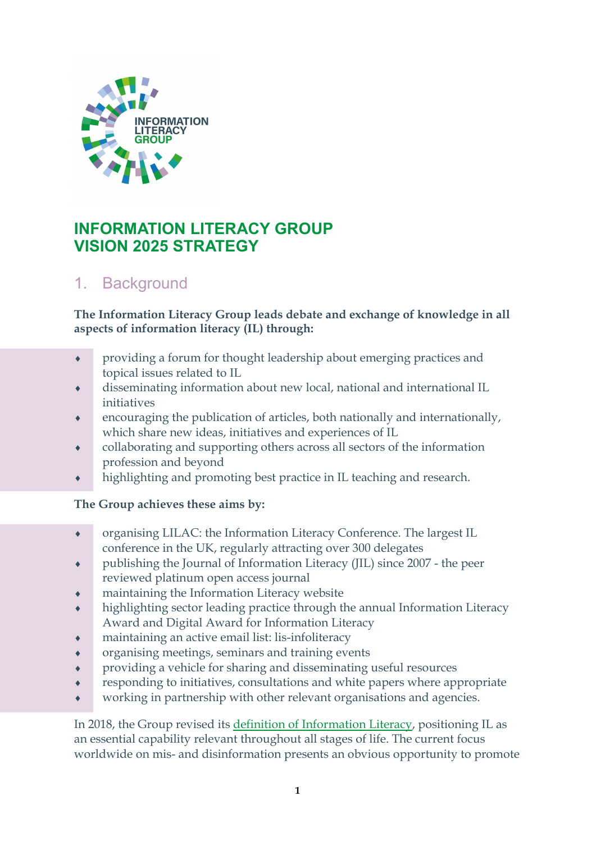

## **INFORMATION LITERACY GROUP VISION 2025 STRATEGY**

## 1. Background

## **The Information Literacy Group leads debate and exchange of knowledge in all aspects of information literacy (IL) through:**

- providing a forum for thought leadership about emerging practices and topical issues related to IL
- disseminating information about new local, national and international IL initiatives
- encouraging the publication of articles, both nationally and internationally, which share new ideas, initiatives and experiences of IL
- collaborating and supporting others across all sectors of the information profession and beyond
- highlighting and promoting best practice in IL teaching and research.

## **The Group achieves these aims by:**

- organising LILAC: the Information Literacy Conference. The largest IL conference in the UK, regularly attracting over 300 delegates
- publishing the Journal of Information Literacy (JIL) since 2007 the peer reviewed platinum open access journal
- $\bullet$  maintaining the Information Literacy website
- highlighting sector leading practice through the annual Information Literacy Award and Digital Award for Information Literacy
- maintaining an active email list: lis-infoliteracy
- organising meetings, seminars and training events
- providing a vehicle for sharing and disseminating useful resources
- responding to initiatives, consultations and white papers where appropriate
- working in partnership with other relevant organisations and agencies.

In 2018, the Group revised its definition of Information Literacy, positioning IL as an essential capability relevant throughout all stages of life. The current focus worldwide on mis- and disinformation presents an obvious opportunity to promote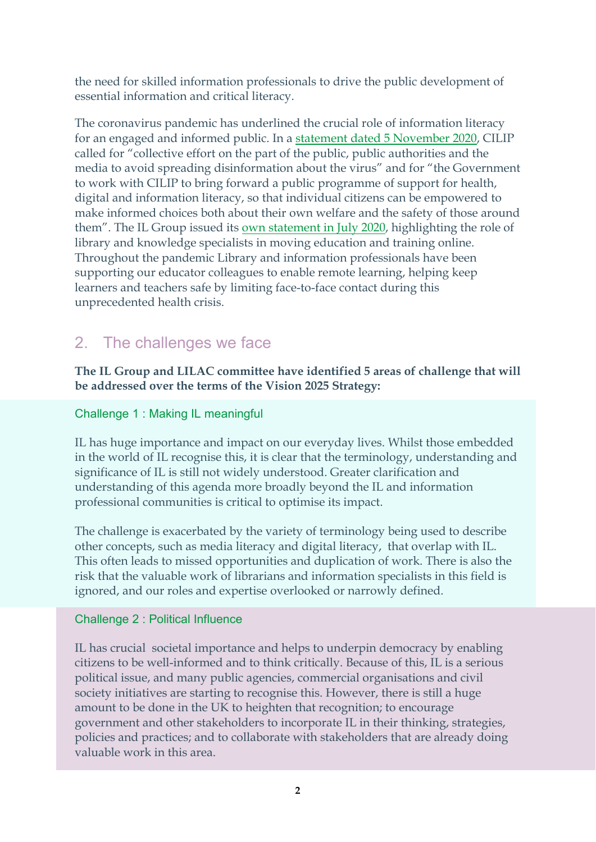the need for skilled information professionals to drive the public development of essential information and critical literacy.

The coronavirus pandemic has underlined the crucial role of information literacy for an engaged and informed public. In a statement dated 5 November 2020, CILIP called for "collective effort on the part of the public, public authorities and the media to avoid spreading disinformation about the virus" and for "the Government to work with CILIP to bring forward a public programme of support for health, digital and information literacy, so that individual citizens can be empowered to make informed choices both about their own welfare and the safety of those around them". The IL Group issued its own statement in July 2020, highlighting the role of library and knowledge specialists in moving education and training online. Throughout the pandemic Library and information professionals have been supporting our educator colleagues to enable remote learning, helping keep learners and teachers safe by limiting face-to-face contact during this unprecedented health crisis.

# 2. The challenges we face

## **The IL Group and LILAC committee have identified 5 areas of challenge that will be addressed over the terms of the Vision 2025 Strategy:**

## Challenge 1 : Making IL meaningful

IL has huge importance and impact on our everyday lives. Whilst those embedded in the world of IL recognise this, it is clear that the terminology, understanding and significance of IL is still not widely understood. Greater clarification and understanding of this agenda more broadly beyond the IL and information professional communities is critical to optimise its impact.

The challenge is exacerbated by the variety of terminology being used to describe other concepts, such as media literacy and digital literacy, that overlap with IL. This often leads to missed opportunities and duplication of work. There is also the risk that the valuable work of librarians and information specialists in this field is ignored, and our roles and expertise overlooked or narrowly defined.

### Challenge 2 : Political Influence

IL has crucial societal importance and helps to underpin democracy by enabling citizens to be well-informed and to think critically. Because of this, IL is a serious political issue, and many public agencies, commercial organisations and civil society initiatives are starting to recognise this. However, there is still a huge amount to be done in the UK to heighten that recognition; to encourage government and other stakeholders to incorporate IL in their thinking, strategies, policies and practices; and to collaborate with stakeholders that are already doing valuable work in this area.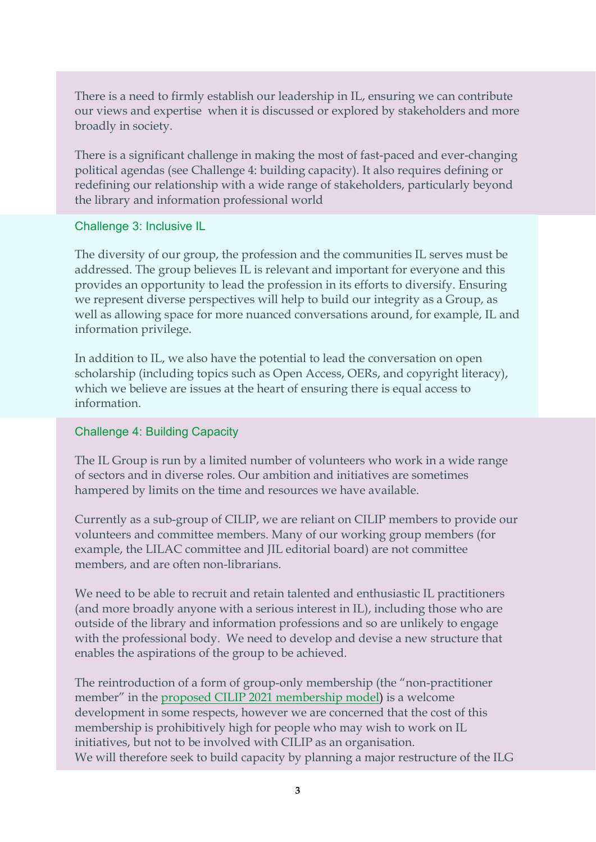There is a need to firmly establish our leadership in IL, ensuring we can contribute our views and expertise when it is discussed or explored by stakeholders and more broadly in society.

There is a significant challenge in making the most of fast-paced and ever-changing political agendas (see Challenge 4: building capacity). It also requires defining or redefining our relationship with a wide range of stakeholders, particularly beyond the library and information professional world

#### Challenge 3: Inclusive IL

The diversity of our group, the profession and the communities IL serves must be addressed. The group believes IL is relevant and important for everyone and this provides an opportunity to lead the profession in its efforts to diversify. Ensuring we represent diverse perspectives will help to build our integrity as a Group, as well as allowing space for more nuanced conversations around, for example, IL and information privilege.

In addition to IL, we also have the potential to lead the conversation on open scholarship (including topics such as Open Access, OERs, and copyright literacy), which we believe are issues at the heart of ensuring there is equal access to information.

#### Challenge 4: Building Capacity

The IL Group is run by a limited number of volunteers who work in a wide range of sectors and in diverse roles. Our ambition and initiatives are sometimes hampered by limits on the time and resources we have available.

Currently as a sub-group of CILIP, we are reliant on CILIP members to provide our volunteers and committee members. Many of our working group members (for example, the LILAC committee and JIL editorial board) are not committee members, and are often non-librarians.

We need to be able to recruit and retain talented and enthusiastic IL practitioners (and more broadly anyone with a serious interest in IL), including those who are outside of the library and information professions and so are unlikely to engage with the professional body. We need to develop and devise a new structure that enables the aspirations of the group to be achieved.

The reintroduction of a form of group-only membership (the "non-practitioner member" in the proposed CILIP 2021 membership model) is a welcome development in some respects, however we are concerned that the cost of this membership is prohibitively high for people who may wish to work on IL initiatives, but not to be involved with CILIP as an organisation. We will therefore seek to build capacity by planning a major restructure of the ILG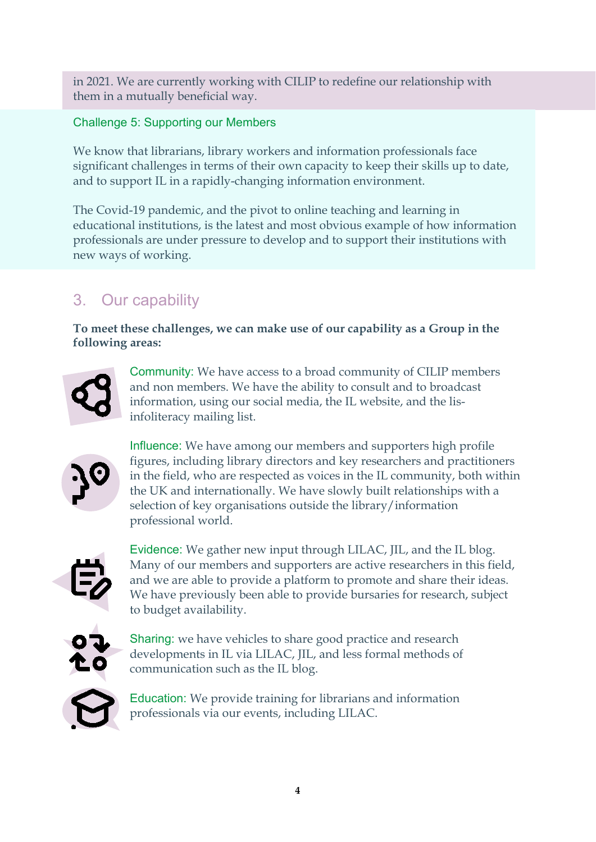in 2021. We are currently working with CILIP to redefine our relationship with them in a mutually beneficial way.

## Challenge 5: Supporting our Members

We know that librarians, library workers and information professionals face significant challenges in terms of their own capacity to keep their skills up to date, and to support IL in a rapidly-changing information environment.

The Covid-19 pandemic, and the pivot to online teaching and learning in educational institutions, is the latest and most obvious example of how information professionals are under pressure to develop and to support their institutions with new ways of working.

# 3. Our capability

**To meet these challenges, we can make use of our capability as a Group in the following areas:** 



Community: We have access to a broad community of CILIP members and non members. We have the ability to consult and to broadcast information, using our social media, the IL website, and the lisinfoliteracy mailing list.



Influence: We have among our members and supporters high profile figures, including library directors and key researchers and practitioners in the field, who are respected as voices in the IL community, both within the UK and internationally. We have slowly built relationships with a selection of key organisations outside the library/information professional world.



Evidence: We gather new input through LILAC, JIL, and the IL blog. Many of our members and supporters are active researchers in this field, and we are able to provide a platform to promote and share their ideas. We have previously been able to provide bursaries for research, subject to budget availability.

Sharing: we have vehicles to share good practice and research developments in IL via LILAC, JIL, and less formal methods of communication such as the IL blog.

Education: We provide training for librarians and information professionals via our events, including LILAC.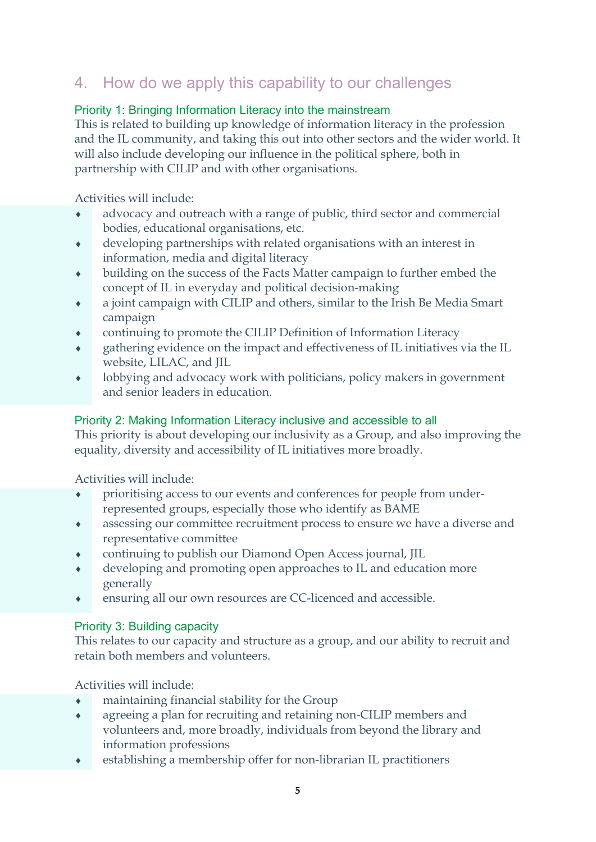# 4. How do we apply this capability to our challenges

## Priority 1: Bringing Information Literacy into the mainstream

This is related to building up knowledge of information literacy in the profession and the IL community, and taking this out into other sectors and the wider world. It will also include developing our influence in the political sphere, both in partnership with CILIP and with other organisations.

Activities will include:

- advocacy and outreach with a range of public, third sector and commercial bodies, educational organisations, etc.
- developing partnerships with related organisations with an interest in information, media and digital literacy
- building on the success of the Facts Matter campaign to further embed the concept of IL in everyday and political decision-making
- a joint campaign with CILIP and others, similar to the Irish Be Media Smart campaign
- continuing to promote the CILIP Definition of Information Literacy
- gathering evidence on the impact and effectiveness of IL initiatives via the IL website, LILAC, and JIL
- lobbying and advocacy work with politicians, policy makers in government and senior leaders in education.

### Priority 2: Making Information Literacy inclusive and accessible to all

This priority is about developing our inclusivity as a Group, and also improving the equality, diversity and accessibility of IL initiatives more broadly.

Activities will include:

- prioritising access to our events and conferences for people from underrepresented groups, especially those who identify as BAME
- assessing our committee recruitment process to ensure we have a diverse and representative committee
- continuing to publish our Diamond Open Access journal, JIL
- developing and promoting open approaches to IL and education more generally
- ensuring all our own resources are CC-licenced and accessible.

### Priority 3: Building capacity

This relates to our capacity and structure as a group, and our ability to recruit and retain both members and volunteers.

Activities will include:

- maintaining financial stability for the Group
- agreeing a plan for recruiting and retaining non-CILIP members and volunteers and, more broadly, individuals from beyond the library and information professions
- establishing a membership offer for non-librarian IL practitioners